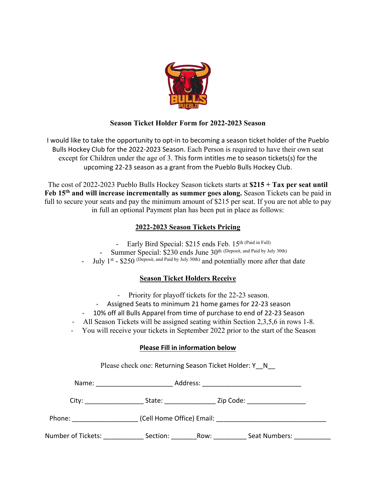

### **Season Ticket Holder Form for 2022-2023 Season**

I would like to take the opportunity to opt-in to becoming a season ticket holder of the Pueblo Bulls Hockey Club for the 2022-2023 Season. Each Person is required to have their own seat except for Children under the age of 3. This form intitles me to season tickets(s) for the upcoming 22-23 season as a grant from the Pueblo Bulls Hockey Club.

The cost of 2022-2023 Pueblo Bulls Hockey Season tickets starts at **\$215 + Tax per seat until Feb 15th and will increase incrementally as summer goes along.** Season Tickets can be paid in full to secure your seats and pay the minimum amount of \$215 per seat. If you are not able to pay in full an optional Payment plan has been put in place as follows:

### **2022-2023 Season Tickets Pricing**

- Early Bird Special: \$215 ends Feb. 15th (Paid in Full)
- Summer Special: \$230 ends June 30<sup>th (Deposit, and Paid by July 30th)</sup>
- July 1<sup>st</sup> \$250 (Deposit, and Paid by July 30th) and potentially more after that date

## **Season Ticket Holders Receive**

- Priority for playoff tickets for the 22-23 season.
- Assigned Seats to minimum 21 home games for 22-23 season
- 10% off all Bulls Apparel from time of purchase to end of 22-23 Season
- All Season Tickets will be assigned seating within Section 2,3,5,6 in rows 1-8.
- You will receive your tickets in September 2022 prior to the start of the Season

### **Please Fill in information below**

Please check one: Returning Season Ticket Holder: Y\_N\_

| Name:              | Address:                  |      |               |  |
|--------------------|---------------------------|------|---------------|--|
| City:              | State:                    |      | Zip Code:     |  |
| Phone:             | (Cell Home Office) Email: |      |               |  |
| Number of Tickets: | Section:                  | Row: | Seat Numbers: |  |